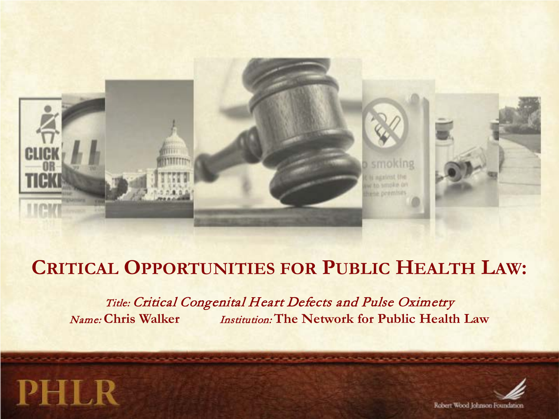

# **CRITICAL OPPORTUNITIES FOR PUBLIC HEALTH LAW:**

Title: Critical Congenital Heart Defects and Pulse Oximetry Name: **Chris Walker** Institution: **The Network for Public Health Law**



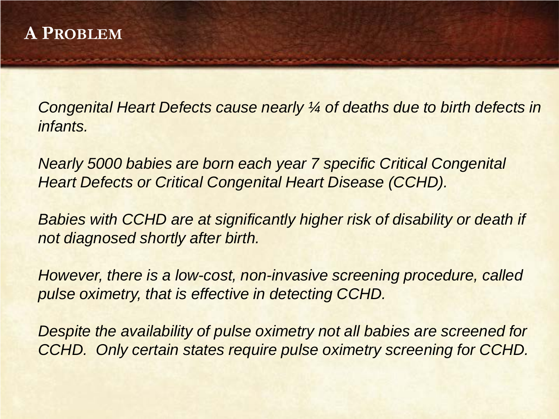*Congenital Heart Defects cause nearly ¼ of deaths due to birth defects in infants.*

*Nearly 5000 babies are born each year 7 specific Critical Congenital Heart Defects or Critical Congenital Heart Disease (CCHD).*

**Babies with CCHD are at significantly higher risk of disability or death if** *not diagnosed shortly after birth.*

*However, there is a low-cost, non-invasive screening procedure, called pulse oximetry, that is effective in detecting CCHD.*

*Despite the availability of pulse oximetry not all babies are screened for CCHD. Only certain states require pulse oximetry screening for CCHD.*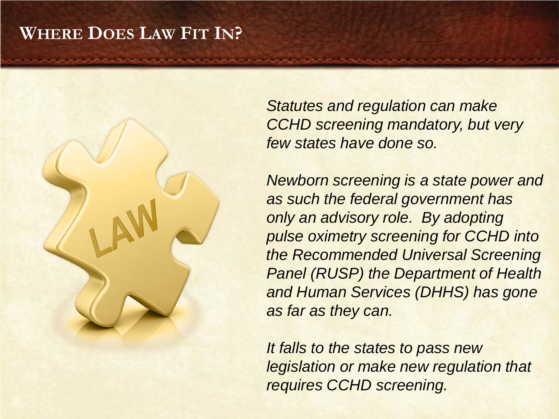#### **WHERE DOES LAW FIT IN?**

*Statutes and regulation can make CCHD screening mandatory, but very few states have done so.*

*Newborn screening is a state power and as such the federal government has only an advisory role. By adopting pulse oximetry screening for CCHD into the Recommended Universal Screening Panel (RUSP) the Department of Health and Human Services (DHHS) has gone as far as they can.*

*It falls to the states to pass new legislation or make new regulation that requires CCHD screening.*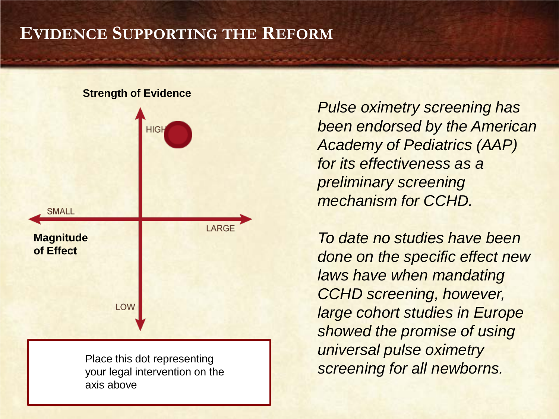## **EVIDENCE SUPPORTING THE REFORM**

#### **Strength of Evidence**



your legal intervention on the axis above

*Pulse oximetry screening has been endorsed by the American Academy of Pediatrics (AAP) for its effectiveness as a preliminary screening mechanism for CCHD.*

*To date no studies have been done on the specific effect new laws have when mandating CCHD screening, however, large cohort studies in Europe showed the promise of using universal pulse oximetry* Place this dot representing<br>vour legal intervention on the **Example Screening for all newborns.**